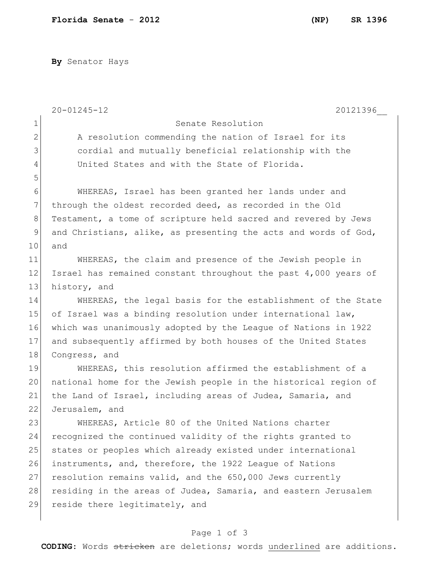**By** Senator Hays

|                | $20 - 01245 - 12$<br>20121396                                   |
|----------------|-----------------------------------------------------------------|
| $\mathbf 1$    | Senate Resolution                                               |
| $\overline{2}$ | A resolution commending the nation of Israel for its            |
| 3              | cordial and mutually beneficial relationship with the           |
| 4              | United States and with the State of Florida.                    |
| 5              |                                                                 |
| 6              | WHEREAS, Israel has been granted her lands under and            |
| $\overline{7}$ | through the oldest recorded deed, as recorded in the Old        |
| $8\,$          | Testament, a tome of scripture held sacred and revered by Jews  |
| 9              | and Christians, alike, as presenting the acts and words of God, |
| 10             | and                                                             |
| 11             | WHEREAS, the claim and presence of the Jewish people in         |
| 12             | Israel has remained constant throughout the past 4,000 years of |
| 13             | history, and                                                    |
| 14             | WHEREAS, the legal basis for the establishment of the State     |
| 15             | of Israel was a binding resolution under international law,     |
| 16             | which was unanimously adopted by the League of Nations in 1922  |
| 17             | and subsequently affirmed by both houses of the United States   |
| 18             | Congress, and                                                   |
| 19             | WHEREAS, this resolution affirmed the establishment of a        |
| 20             | national home for the Jewish people in the historical region of |
| 21             | the Land of Israel, including areas of Judea, Samaria, and      |
| 22             | Jerusalem, and                                                  |
| 23             | WHEREAS, Article 80 of the United Nations charter               |
| 24             | recognized the continued validity of the rights granted to      |
| 25             | states or peoples which already existed under international     |
| 26             | instruments, and, therefore, the 1922 League of Nations         |
| 27             | resolution remains valid, and the 650,000 Jews currently        |
| 28             | residing in the areas of Judea, Samaria, and eastern Jerusalem  |
| 29             | reside there legitimately, and                                  |
|                |                                                                 |

## Page 1 of 3

**CODING**: Words stricken are deletions; words underlined are additions.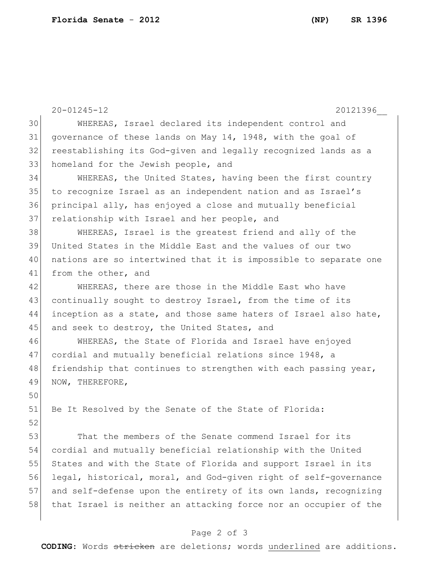|    | $20 - 01245 - 12$<br>20121396                                    |
|----|------------------------------------------------------------------|
| 30 | WHEREAS, Israel declared its independent control and             |
| 31 | governance of these lands on May 14, 1948, with the goal of      |
| 32 | reestablishing its God-given and legally recognized lands as a   |
| 33 | homeland for the Jewish people, and                              |
| 34 | WHEREAS, the United States, having been the first country        |
| 35 | to recognize Israel as an independent nation and as Israel's     |
| 36 | principal ally, has enjoyed a close and mutually beneficial      |
| 37 | relationship with Israel and her people, and                     |
| 38 | WHEREAS, Israel is the greatest friend and ally of the           |
| 39 | United States in the Middle East and the values of our two       |
| 40 | nations are so intertwined that it is impossible to separate one |
| 41 | from the other, and                                              |
| 42 | WHEREAS, there are those in the Middle East who have             |
| 43 | continually sought to destroy Israel, from the time of its       |
| 44 | inception as a state, and those same haters of Israel also hate, |
| 45 | and seek to destroy, the United States, and                      |
| 46 | WHEREAS, the State of Florida and Israel have enjoyed            |
| 47 | cordial and mutually beneficial relations since 1948, a          |
| 48 | friendship that continues to strengthen with each passing year,  |
| 49 | NOW, THEREFORE,                                                  |
| 50 |                                                                  |
| 51 | Be It Resolved by the Senate of the State of Florida:            |
| 52 |                                                                  |
| 53 | That the members of the Senate commend Israel for its            |
| 54 | cordial and mutually beneficial relationship with the United     |
| 55 | States and with the State of Florida and support Israel in its   |
| 56 | legal, historical, moral, and God-given right of self-governance |
| 57 | and self-defense upon the entirety of its own lands, recognizing |
| 58 | that Israel is neither an attacking force nor an occupier of the |
|    |                                                                  |

## Page 2 of 3

**CODING**: Words stricken are deletions; words underlined are additions.